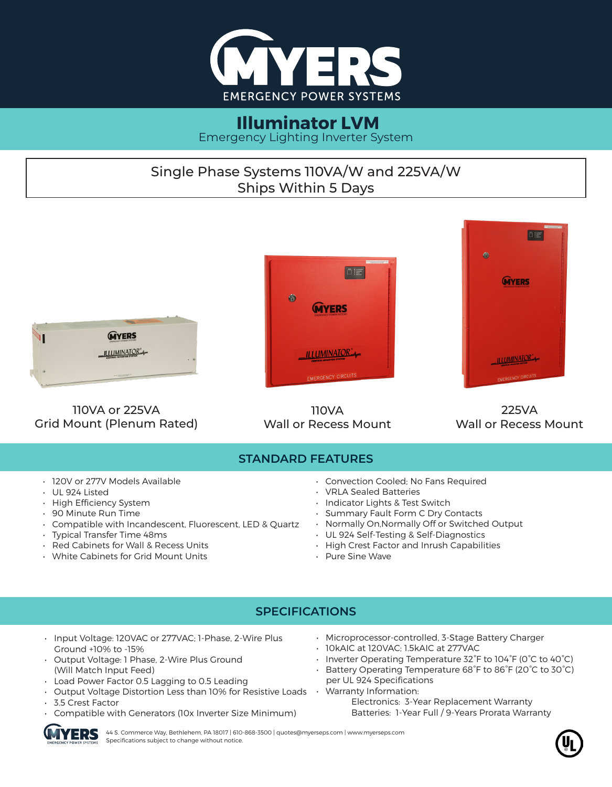

#### **Illuminator LVM** Emergency Lighting Inverter System

# Single Phase Systems 110VA/W and 225VA/W Ships Within 5 Days



• White Cabinets for Grid Mount Units

• Pure Sine Wave

#### **SPECIFICATIONS**

- Input Voltage: 120VAC or 277VAC; 1-Phase, 2-Wire Plus Ground +10% to -15%
- Output Voltage: 1 Phase, 2-Wire Plus Ground (Will Match Input Feed)
- Load Power Factor 0.5 Lagging to 0.5 Leading
- Output Voltage Distortion Less than 10% for Resistive Loads Warranty Information:
- 3.5 Crest Factor
- Compatible with Generators (10x Inverter Size Minimum)
- Microprocessor-controlled, 3-Stage Battery Charger
- 10kAIC at 120VAC; 1.5kAIC at 277VAC
- Inverter Operating Temperature 32°F to 104°F (0°C to 40°C)
- Battery Operating Temperature 68°F to 86°F (20°C to 30°C) per UL 924 Specifications
	- Electronics: 3-Year Replacement Warranty Batteries: 1-Year Full / 9-Years Prorata Warranty

44 S. Commerce Way, Bethlehem, PA 18017 | 610-868-3500 | quotes@myerseps.com | www.myerseps.com Specifications subject to change without notice.